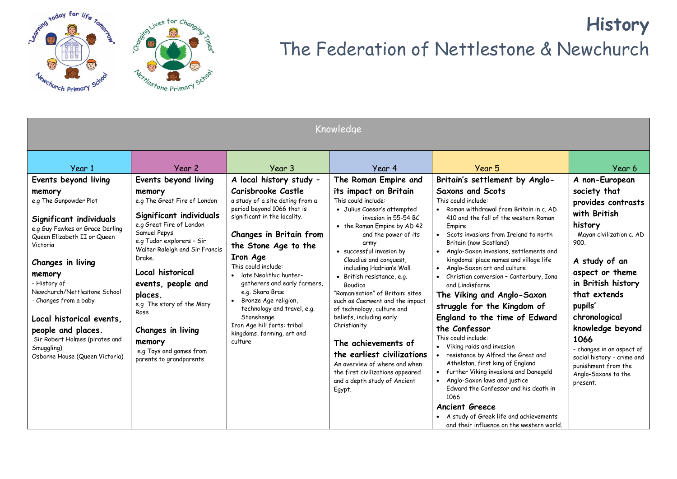

## **History** The Federation of Nettlestone & Newchurch

| Knowledge                                                                                                                                                                                                                                                                                                                                                                                                     |                                                                                                                                                                                                                                                                                                                                                                                                 |                                                                                                                                                                                                                                                                                                                                                                                                                                                                |                                                                                                                                                                                                                                                                                                                                                                                                                                                                                                                                                                                                                                            |                                                                                                                                                                                                                                                                                                                                                                                                                                                                                                                                                                                                                                                                                                                                                                                                                                                                                                                                    |                                                                                                                                                                                                                                                                                                                                                                              |  |  |  |
|---------------------------------------------------------------------------------------------------------------------------------------------------------------------------------------------------------------------------------------------------------------------------------------------------------------------------------------------------------------------------------------------------------------|-------------------------------------------------------------------------------------------------------------------------------------------------------------------------------------------------------------------------------------------------------------------------------------------------------------------------------------------------------------------------------------------------|----------------------------------------------------------------------------------------------------------------------------------------------------------------------------------------------------------------------------------------------------------------------------------------------------------------------------------------------------------------------------------------------------------------------------------------------------------------|--------------------------------------------------------------------------------------------------------------------------------------------------------------------------------------------------------------------------------------------------------------------------------------------------------------------------------------------------------------------------------------------------------------------------------------------------------------------------------------------------------------------------------------------------------------------------------------------------------------------------------------------|------------------------------------------------------------------------------------------------------------------------------------------------------------------------------------------------------------------------------------------------------------------------------------------------------------------------------------------------------------------------------------------------------------------------------------------------------------------------------------------------------------------------------------------------------------------------------------------------------------------------------------------------------------------------------------------------------------------------------------------------------------------------------------------------------------------------------------------------------------------------------------------------------------------------------------|------------------------------------------------------------------------------------------------------------------------------------------------------------------------------------------------------------------------------------------------------------------------------------------------------------------------------------------------------------------------------|--|--|--|
| Year 1                                                                                                                                                                                                                                                                                                                                                                                                        | Year 2                                                                                                                                                                                                                                                                                                                                                                                          | Year 3                                                                                                                                                                                                                                                                                                                                                                                                                                                         | Year 4                                                                                                                                                                                                                                                                                                                                                                                                                                                                                                                                                                                                                                     | Year 5                                                                                                                                                                                                                                                                                                                                                                                                                                                                                                                                                                                                                                                                                                                                                                                                                                                                                                                             | Year 6                                                                                                                                                                                                                                                                                                                                                                       |  |  |  |
| Events beyond living<br>memory<br>e.g The Gunpowder Plot<br>Significant individuals<br>e.g Guy Fawkes or Grace Darling<br>Queen Elizabeth II or Queen<br>Victoria<br>Changes in living<br>memory<br>- History of<br>Newchurch/Nettlestone School<br>- Changes from a baby<br>Local historical events,<br>people and places.<br>Sir Robert Holmes (pirates and<br>Smuggling)<br>Osborne House (Queen Victoria) | Events beyond living<br>memory<br>e.g The Great Fire of London<br>Significant individuals<br>e.g Great Fire of London -<br>Samuel Pepys<br>e.g Tudor explorers - Sir<br>Walter Raleigh and Sir Francis<br>Drake.<br>Local historical<br>events, people and<br>places.<br>e.g The story of the Mary<br>Rose<br>Changes in living<br>memory<br>e.g Toys and games from<br>parents to grandparents | A local history study -<br>Carisbrooke Castle<br>a study of a site dating from a<br>period beyond 1066 that is<br>significant in the locality.<br>Changes in Britain from<br>the Stone Age to the<br>Iron Age<br>This could include:<br>late Neolithic hunter-<br>gatherers and early farmers,<br>e.g. Skara Brae<br>Bronze Age religion,<br>technology and travel, e.g.<br>Stonehenge<br>Iron Age hill forts: tribal<br>kingdoms, farming, art and<br>culture | The Roman Empire and<br>its impact on Britain<br>This could include:<br>• Julius Caesar's attempted<br>invasion in 55-54 BC<br>• the Roman Empire by AD 42<br>and the power of its<br>army<br>· successful invasion by<br>Claudius and conquest,<br>including Hadrian's Wall<br>· British resistance, e.g.<br>Boudica<br>"Romanisation" of Britain: sites<br>such as Caerwent and the impact<br>of technology, culture and<br>beliefs, including early<br>Christianity<br>The achievements of<br>the earliest civilizations<br>An overview of where and when<br>the first civilizations appeared<br>and a depth study of Ancient<br>Egypt. | Britain's settlement by Anglo-<br><b>Saxons and Scots</b><br>This could include:<br>Roman withdrawal from Britain in c. AD<br>410 and the fall of the western Roman<br>Empire<br>• Scots invasions from Ireland to north<br>Britain (now Scotland)<br>• Anglo-Saxon invasions, settlements and<br>kingdoms: place names and village life<br>• Anglo-Saxon art and culture<br>• Christian conversion - Canterbury, Iona<br>and Lindisfarne<br>The Viking and Anglo-Saxon<br>struggle for the Kingdom of<br>England to the time of Edward<br>the Confessor<br>This could include:<br>• Viking raids and invasion<br>resistance by Alfred the Great and<br>Athelstan, first king of England<br>further Viking invasions and Danegeld<br>Anglo-Saxon laws and justice<br>Edward the Confessor and his death in<br>1066<br><b>Ancient Greece</b><br>A study of Greek life and achievements<br>and their influence on the western world. | A non-European<br>society that<br>provides contrasts<br>with British<br>history<br>- Mayan civilization c. AD<br>900.<br>A study of an<br>aspect or theme<br>in British history<br>that extends<br>pupils'<br>chronological<br>knowledge beyond<br>1066<br>- changes in an aspect of<br>social history - crime and<br>punishment from the<br>Anglo-Saxons to the<br>present. |  |  |  |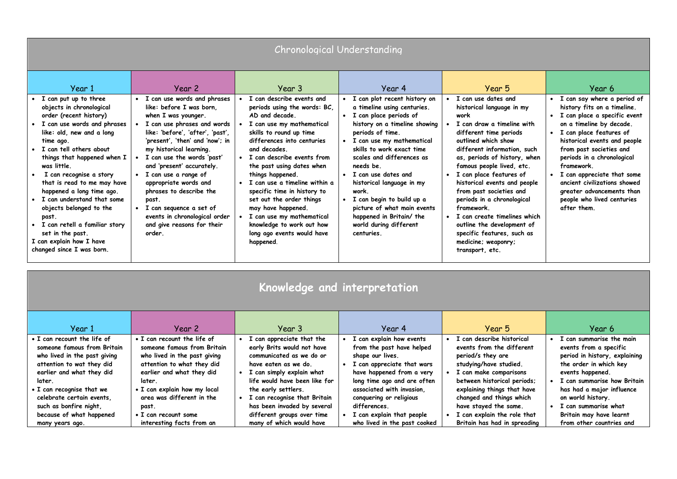| Chronological Understanding                                                                                                                                                                                                                                                                                                                                                                                                                                                                            |                                                                                                                                                                                                                                                                                                                                                                                                                                                                     |                                                                                                                                                                                                                                                                                                                                                                                                                                                                                        |                                                                                                                                                                                                                                                                                                                                                                                                                                                 |                                                                                                                                                                                                                                                                                                                                                                                                                                                                                                               |                                                                                                                                                                                                                                                                                                                                                                                                  |  |  |
|--------------------------------------------------------------------------------------------------------------------------------------------------------------------------------------------------------------------------------------------------------------------------------------------------------------------------------------------------------------------------------------------------------------------------------------------------------------------------------------------------------|---------------------------------------------------------------------------------------------------------------------------------------------------------------------------------------------------------------------------------------------------------------------------------------------------------------------------------------------------------------------------------------------------------------------------------------------------------------------|----------------------------------------------------------------------------------------------------------------------------------------------------------------------------------------------------------------------------------------------------------------------------------------------------------------------------------------------------------------------------------------------------------------------------------------------------------------------------------------|-------------------------------------------------------------------------------------------------------------------------------------------------------------------------------------------------------------------------------------------------------------------------------------------------------------------------------------------------------------------------------------------------------------------------------------------------|---------------------------------------------------------------------------------------------------------------------------------------------------------------------------------------------------------------------------------------------------------------------------------------------------------------------------------------------------------------------------------------------------------------------------------------------------------------------------------------------------------------|--------------------------------------------------------------------------------------------------------------------------------------------------------------------------------------------------------------------------------------------------------------------------------------------------------------------------------------------------------------------------------------------------|--|--|
| Year 1                                                                                                                                                                                                                                                                                                                                                                                                                                                                                                 | Year 2                                                                                                                                                                                                                                                                                                                                                                                                                                                              | Year 3                                                                                                                                                                                                                                                                                                                                                                                                                                                                                 | Year 4                                                                                                                                                                                                                                                                                                                                                                                                                                          | Year 5                                                                                                                                                                                                                                                                                                                                                                                                                                                                                                        | Year 6                                                                                                                                                                                                                                                                                                                                                                                           |  |  |
| I can put up to three<br>objects in chronological<br>order (recent history)<br>I can use words and phrases<br>like: old, new and a long<br>time ago.<br>I can tell others about<br>things that happened when I<br>was little.<br>I can recognise a story<br>that is read to me may have<br>happened a long time ago.<br>I can understand that some<br>objects belonged to the<br>past.<br>• I can retell a familiar story<br>set in the past.<br>I can explain how I have<br>changed since I was born. | I can use words and phrases<br>like: before I was born.<br>when I was younger.<br>I can use phrases and words<br>like: 'before', 'after', 'past',<br>'present', 'then' and 'now'; in<br>my historical learning.<br>I can use the words 'past'<br>and 'present' accurately.<br>I can use a range of<br>appropriate words and<br>phrases to describe the<br>past.<br>I can sequence a set of<br>events in chronological order<br>and give reasons for their<br>order. | I can describe events and<br>periods using the words: BC,<br>AD and decade<br>I can use my mathematical<br>skills to round up time<br>differences into centuries<br>and decades.<br>I can describe events from<br>the past using dates when<br>things happened.<br>I can use a timeline within a<br>specific time in history to<br>set out the order things<br>may have happened.<br>I can use my mathematical<br>knowledge to work out how<br>long ago events would have<br>happened. | I can plot recent history on<br>a timeline using centuries.<br>I can place periods of<br>history on a timeline showing<br>periods of time.<br>I can use my mathematical<br>skills to work exact time<br>scales and differences as<br>needs be.<br>• I can use dates and<br>historical language in my<br>work.<br>• I can begin to build up a<br>picture of what main events<br>happened in Britain/ the<br>world during different<br>centuries. | I can use dates and<br>historical language in my<br>work<br>I can draw a timeline with<br>different time periods<br>outlined which show<br>different information, such<br>as, periods of history, when<br>famous people lived, etc.<br>I can place features of<br>historical events and people<br>from past societies and<br>periods in a chronological<br>framework.<br>• I can create timelines which<br>outline the development of<br>specific features, such as<br>medicine; weaponry;<br>transport, etc. | I can say where a period of<br>history fits on a timeline.<br>I can place a specific event<br>on a timeline by decade.<br>I can place features of<br>historical events and people<br>from past societies and<br>periods in a chronological<br>framework.<br>I can appreciate that some<br>ancient civilizations showed<br>greater advancements than<br>people who lived centuries<br>after them. |  |  |

| Knowledge and interpretation |  |
|------------------------------|--|
|                              |  |

| Year 1                       | Year 2                       | Year 3                        | Year 4                       | Year 5                       | Year 6                        |
|------------------------------|------------------------------|-------------------------------|------------------------------|------------------------------|-------------------------------|
| • I can recount the life of  | • I can recount the life of  | I can appreciate that the     | I can explain how events     | I can describe historical    | I can summarise the main      |
| someone famous from Britain  | someone famous from Britain  | early Brits would not have    | from the past have helped    | events from the different    | events from a specific        |
| who lived in the past giving | who lived in the past giving | communicated as we do or      | shape our lives.             | period/s they are            | period in history, explaining |
| attention to wat they did    | attention to what they did   | have eaten as we do.          | I can appreciate that wars   | studying/have studied.       | the order in which key        |
| earlier and what they did    | earlier and what they did    | I can simply explain what     | have happened from a very    | I can make comparisons       | events happened.              |
| later.                       | later.                       | life would have been like for | long time ago and are often  | between historical periods;  | I can summarise how Britain   |
| • I can recognise that we    | • I can explain how my local | the early settlers.           | associated with invasion.    | explaining things that have  | has had a major influence     |
| celebrate certain events.    | area was different in the    | I can recognise that Britain  | conquering or religious      | changed and things which     | on world history.             |
| such as bonfire night,       | past.                        | has been invaded by several   | differences.                 | have stayed the same.        | I can summarise what          |
| because of what happened     | • I can recount some         | different groups over time    | I can explain that people    | I can explain the role that  | Britain may have learnt       |
| many years ago.              | interesting facts from an    | many of which would have      | who lived in the past cooked | Britain has had in spreading | from other countries and      |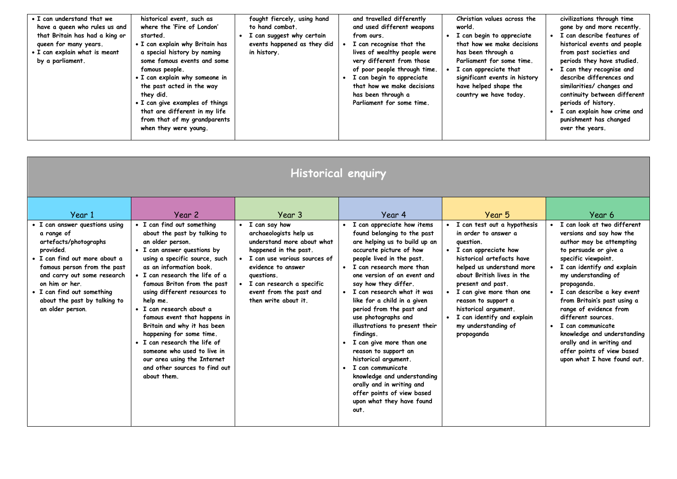| • I can understand that we<br>have a queen who rules us and<br>that Britain has had a king or<br>queen for many years.<br>• I can explain what is meant<br>by a parliament. | historical event, such as<br>where the 'Fire of London'<br>started.<br>• I can explain why Britain has<br>a special history by naming<br>some famous events and some<br>famous people.<br>• I can explain why someone in<br>the past acted in the way<br>they did.<br>• I can give examples of things<br>that are different in my life<br>from that of my grandparents<br>when they were young. |  | fought fiercely, using hand<br>to hand combat.<br>I can suggest why certain<br>events happened as they did<br>in history. |  | and travelled differently<br>and used different weapons<br>from ours.<br>I can recognise that the<br>lives of wealthy people were<br>very different from those<br>of poor people through time.<br>I can begin to appreciate<br>that how we make decisions<br>has been through a<br>Parliament for some time. |  | Christian values across the<br>world.<br>I can begin to appreciate<br>that how we make decisions<br>has been through a<br>Parliament for some time.<br>I can appreciate that<br>significant events in history<br>have helped shape the<br>country we have today. |  | civilizations through time<br>gone by and more recently.<br>I can describe features of<br>historical events and people<br>from past societies and<br>periods they have studied.<br>I can they recognise and<br>describe differences and<br>similarities/ changes and<br>continuity between different<br>periods of history.<br>I can explain how crime and<br>punishment has changed<br>over the years. |
|-----------------------------------------------------------------------------------------------------------------------------------------------------------------------------|-------------------------------------------------------------------------------------------------------------------------------------------------------------------------------------------------------------------------------------------------------------------------------------------------------------------------------------------------------------------------------------------------|--|---------------------------------------------------------------------------------------------------------------------------|--|--------------------------------------------------------------------------------------------------------------------------------------------------------------------------------------------------------------------------------------------------------------------------------------------------------------|--|------------------------------------------------------------------------------------------------------------------------------------------------------------------------------------------------------------------------------------------------------------------|--|---------------------------------------------------------------------------------------------------------------------------------------------------------------------------------------------------------------------------------------------------------------------------------------------------------------------------------------------------------------------------------------------------------|
|-----------------------------------------------------------------------------------------------------------------------------------------------------------------------------|-------------------------------------------------------------------------------------------------------------------------------------------------------------------------------------------------------------------------------------------------------------------------------------------------------------------------------------------------------------------------------------------------|--|---------------------------------------------------------------------------------------------------------------------------|--|--------------------------------------------------------------------------------------------------------------------------------------------------------------------------------------------------------------------------------------------------------------------------------------------------------------|--|------------------------------------------------------------------------------------------------------------------------------------------------------------------------------------------------------------------------------------------------------------------|--|---------------------------------------------------------------------------------------------------------------------------------------------------------------------------------------------------------------------------------------------------------------------------------------------------------------------------------------------------------------------------------------------------------|

| Historical enquiry                                                                                                                                                                                                                                                                              |                                                                                                                                                                                                                                                                                                                                                                                             |                                                                                                                                                                                                                                                              |                                                                                                                                                                                                                                                                                                                                                                                                         |                                                                                                                                                                                                                                                                                                                                                              |                                                                                                                                                                                                                                                                                                                                                       |  |  |
|-------------------------------------------------------------------------------------------------------------------------------------------------------------------------------------------------------------------------------------------------------------------------------------------------|---------------------------------------------------------------------------------------------------------------------------------------------------------------------------------------------------------------------------------------------------------------------------------------------------------------------------------------------------------------------------------------------|--------------------------------------------------------------------------------------------------------------------------------------------------------------------------------------------------------------------------------------------------------------|---------------------------------------------------------------------------------------------------------------------------------------------------------------------------------------------------------------------------------------------------------------------------------------------------------------------------------------------------------------------------------------------------------|--------------------------------------------------------------------------------------------------------------------------------------------------------------------------------------------------------------------------------------------------------------------------------------------------------------------------------------------------------------|-------------------------------------------------------------------------------------------------------------------------------------------------------------------------------------------------------------------------------------------------------------------------------------------------------------------------------------------------------|--|--|
| Year 1<br>• I can answer questions using<br>a range of<br>artefacts/photographs<br>provided.<br>• I can find out more about a<br>famous person from the past<br>and carry out some research<br>on him or her.<br>• I can find out something<br>about the past by talking to<br>an older person. | Year 2<br>• I can find out something<br>about the past by talking to<br>an older person.<br>• I can answer questions by<br>using a specific source, such<br>as an information book.<br>• I can research the life of a<br>famous Briton from the past<br>using different resources to<br>help me.<br>· I can research about a<br>famous event that happens in<br>Britain and why it has been | Year 3<br>I can say how<br>archaeologists help us<br>understand more about what<br>happened in the past.<br>I can use various sources of<br>evidence to answer<br>questions.<br>I can research a specific<br>event from the past and<br>then write about it. | Year 4<br>• I can appreciate how items<br>found belonging to the past<br>are helping us to build up an<br>accurate picture of how<br>people lived in the past.<br>• I can research more than<br>one version of an event and<br>say how they differ.<br>· I can research what it was<br>like for a child in a given<br>period from the past and<br>use photographs and<br>illustrations to present their | Year 5<br>I can test out a hypothesis<br>in order to answer a<br>question.<br>I can appreciate how<br>$\bullet$<br>historical artefacts have<br>helped us understand more<br>about British lives in the<br>present and past.<br>I can give more than one<br>reason to support a<br>historical argument.<br>I can identify and explain<br>my understanding of | Year 6<br>I can look at two different<br>versions and say how the<br>author may be attempting<br>to persuade or give a<br>specific viewpoint.<br>I can identify and explain<br>my understanding of<br>propaganda.<br>• I can describe a key event<br>from Britain's past using a<br>range of evidence from<br>different sources.<br>I can communicate |  |  |
|                                                                                                                                                                                                                                                                                                 | happening for some time.<br>• I can research the life of<br>someone who used to live in<br>our area using the Internet<br>and other sources to find out<br>about them.                                                                                                                                                                                                                      |                                                                                                                                                                                                                                                              | findings.<br>• I can give more than one<br>reason to support an<br>historical argument.<br>• I can communicate<br>knowledge and understanding<br>orally and in writing and<br>offer points of view based<br>upon what they have found<br>out.                                                                                                                                                           | propoganda                                                                                                                                                                                                                                                                                                                                                   | knowledge and understanding<br>orally and in writing and<br>offer points of view based<br>upon what I have found out.                                                                                                                                                                                                                                 |  |  |